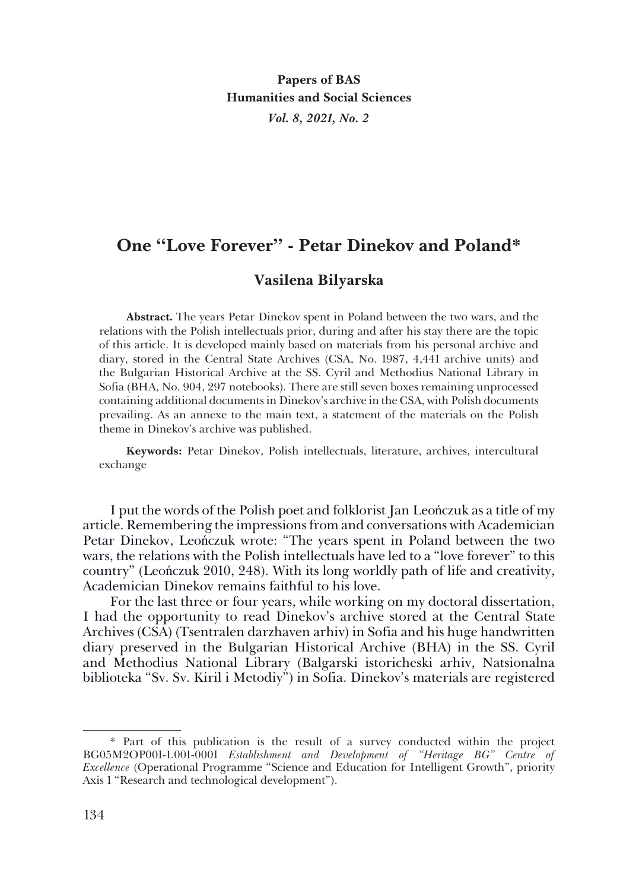# **One "Love Forever" - Petar Dinekov and Poland\***

## **Vasilena Bilyarska**

**Abstract.** The years Petar Dinekov spent in Poland between the two wars, and the relations with the Polish intellectuals prior, during and after his stay there are the topic of this article. It is developed mainly based on materials from his personal archive and diary, stored in the Central State Archives (CSA, No. 1987, 4,441 archive units) and the Bulgarian Historical Archive at the SS. Cyril and Methodius National Library in Sofia (BHA, No. 904, 297 notebooks). There are still seven boxes remaining unprocessed containing additional documents in Dinekov's archive in the CSA, with Polish documents prevailing. As an annexe to the main text, a statement of the materials on the Polish theme in Dinekov's archive was published.

**Keywords:** Petar Dinekov, Polish intellectuals, literature, archives, intercultural exchange

I put the words of the Polish poet and folklorist Jan Leończuk as a title of my article. Remembering the impressions from and conversations with Academician Petar Dinekov, Leończuk wrote: "The years spent in Poland between the two wars, the relations with the Polish intellectuals have led to a "love forever" to this country" (Leończuk 2010, 248). With its long worldly path of life and creativity, Academician Dinekov remains faithful to his love.

For the last three or four years, while working on my doctoral dissertation, I had the opportunity to read Dinekov's archive stored at the Central State Archives (CSA) (Tsentralen darzhaven arhiv) in Sofia and his huge handwritten diary preserved in the Bulgarian Historical Archive (BHA) in the SS. Cyril and Methodius National Library (Balgarski istoricheski arhiv, Natsionalna biblioteka "Sv. Sv. Kiril i Metodiy") in Sofia. Dinekov's materials are registered

<sup>\*</sup> Part of this publication is the result of a survey conducted within the project BG05M2OP001-1.001-0001 *Establishment and Development of "Heritage BG" Centre of Excellence* (Operational Programme "Science and Education for Intelligent Growth", priority Axis 1 "Research and technological development").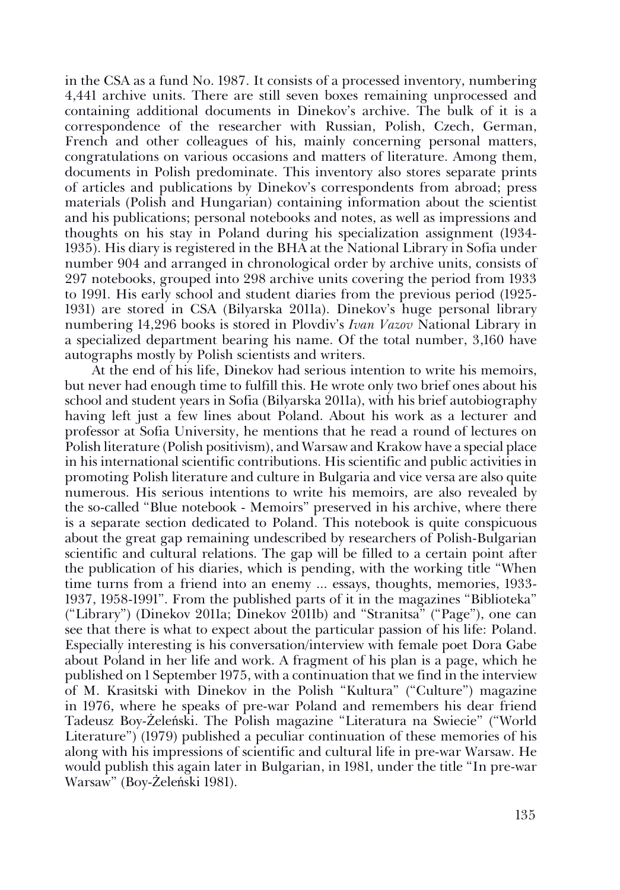in the CSA as a fund No. 1987. It consists of a processed inventory, numbering 4,441 archive units. There are still seven boxes remaining unprocessed and containing additional documents in Dinekov's archive. The bulk of it is a correspondence of the researcher with Russian, Polish, Czech, German, French and other colleagues of his, mainly concerning personal matters, congratulations on various occasions and matters of literature. Among them, documents in Polish predominate. This inventory also stores separate prints of articles and publications by Dinekov's correspondents from abroad; press materials (Polish and Hungarian) containing information about the scientist and his publications; personal notebooks and notes, as well as impressions and thoughts on his stay in Poland during his specialization assignment (1934- 1935). His diary is registered in the BHA at the National Library in Sofia under number 904 and arranged in chronological order by archive units, consists of 297 notebooks, grouped into 298 archive units covering the period from 1933 to 1991. His early school and student diaries from the previous period (1925- 1931) are stored in CSA (Bilyarska 2011a). Dinekov's huge personal library numbering 14,296 books is stored in Plovdiv's *Ivan Vazov* National Library in a specialized department bearing his name. Of the total number, 3,160 have autographs mostly by Polish scientists and writers.

At the end of his life, Dinekov had serious intention to write his memoirs, but never had enough time to fulfill this. He wrote only two brief ones about his school and student years in Sofia (Bilyarska 2011a), with his brief autobiography having left just a few lines about Poland. About his work as a lecturer and professor at Sofia University, he mentions that he read a round of lectures on Polish literature (Polish positivism), and Warsaw and Krakow have a special place in his international scientific contributions. His scientific and public activities in promoting Polish literature and culture in Bulgaria and vice versa are also quite numerous. His serious intentions to write his memoirs, are also revealed by the so-called "Blue notebook - Memoirs" preserved in his archive, where there is a separate section dedicated to Poland. This notebook is quite conspicuous about the great gap remaining undescribed by researchers of Polish-Bulgarian scientific and cultural relations. The gap will be filled to a certain point after the publication of his diaries, which is pending, with the working title "When time turns from a friend into an enemy ... essays, thoughts, memories, 1933- 1937, 1958-1991". From the published parts of it in the magazines "Biblioteka" ("Library") (Dinekov 2011a; Dinekov 2011b) and "Stranitsa" ("Page"), one can see that there is what to expect about the particular passion of his life: Poland. Especially interesting is his conversation/interview with female poet Dora Gabe about Poland in her life and work. A fragment of his plan is a page, which he published on 1 September 1975, with a continuation that we find in the interview of M. Krasitski with Dinekov in the Polish "Kultura" ("Culture") magazine in 1976, where he speaks of pre-war Poland and remembers his dear friend Tadeusz Boy-Żeleński. The Polish magazine "Literatura na Swiecie" ("World Literature") (1979) published a peculiar continuation of these memories of his along with his impressions of scientific and cultural life in pre-war Warsaw. He would publish this again later in Bulgarian, in 1981, under the title "In pre-war Warsaw" (Boy-Żeleński 1981).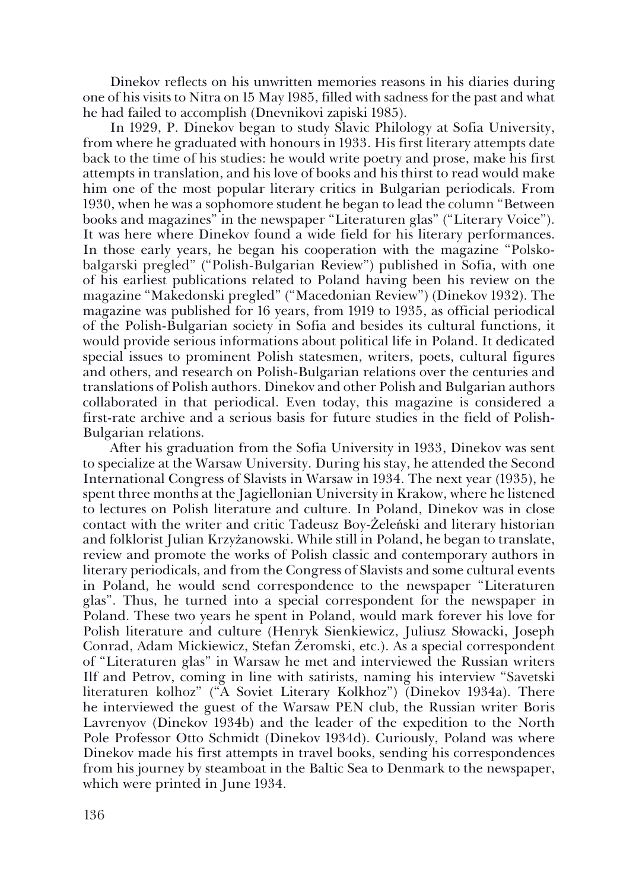Dinekov reflects on his unwritten memories reasons in his diaries during one of his visits to Nitra on 15 May 1985, filled with sadness for the past and what he had failed to accomplish (Dnevnikovi zapiski 1985).

In 1929, P. Dinekov began to study Slavic Philology at Sofia University, from where he graduated with honours in 1933. His first literary attempts date back to the time of his studies: he would write poetry and prose, make his first attempts in translation, and his love of books and his thirst to read would make him one of the most popular literary critics in Bulgarian periodicals. From 1930, when he was a sophomore student he began to lead the column "Between books and magazines" in the newspaper "Literaturen glas" ("Literary Voice"). It was here where Dinekov found a wide field for his literary performances. In those early years, he began his cooperation with the magazine "Polskobalgarski pregled" ("Polish-Bulgarian Review") published in Sofia, with one of his earliest publications related to Poland having been his review on the magazine "Makedonski pregled" ("Macedonian Review") (Dinekov 1932). The magazine was published for 16 years, from 1919 to 1935, as official periodical of the Polish-Bulgarian society in Sofia and besides its cultural functions, it would provide serious informations about political life in Poland. It dedicated special issues to prominent Polish statesmen, writers, poets, cultural figures and others, and research on Polish-Bulgarian relations over the centuries and translations of Polish authors. Dinekov and other Polish and Bulgarian authors collaborated in that periodical. Even today, this magazine is considered a first-rate archive and a serious basis for future studies in the field of Polish-Bulgarian relations.

After his graduation from the Sofia University in 1933, Dinekov was sent to specialize at the Warsaw University. During his stay, he attended the Second International Congress of Slavists in Warsaw in 1934. The next year (1935), he spent three months at the Jagiellonian University in Krakow, where he listened to lectures on Polish literature and culture. In Poland, Dinekov was in close contact with the writer and critic Tadeusz Boy-Żeleński and literary historian and folklorist Julian Krzyżanowski. While still in Poland, he began to translate, review and promote the works of Polish classic and contemporary authors in literary periodicals, and from the Congress of Slavists and some cultural events in Poland, he would send correspondence to the newspaper "Literaturen glas". Thus, he turned into a special correspondent for the newspaper in Poland. These two years he spent in Poland, would mark forever his love for Polish literature and culture (Henryk Sienkiewicz, Juliusz Słowacki, Joseph Conrad, Adam Mickiewicz, Stefan Żeromski, etc.). As a special correspondent of "Literaturen glas" in Warsaw he met and interviewed the Russian writers Ilf and Petrov, coming in line with satirists, naming his interview "Savetski literaturen kolhoz" ("A Soviet Literary Kolkhoz") (Dinekov 1934a). There he interviewed the guest of the Warsaw PEN club, the Russian writer Boris Lavrenyov (Dinekov 1934b) and the leader of the expedition to the North Pole Professor Otto Schmidt (Dinekov 1934d). Curiously, Poland was where Dinekov made his first attempts in travel books, sending his correspondences from his journey by steamboat in the Baltic Sea to Denmark to the newspaper, which were printed in June 1934.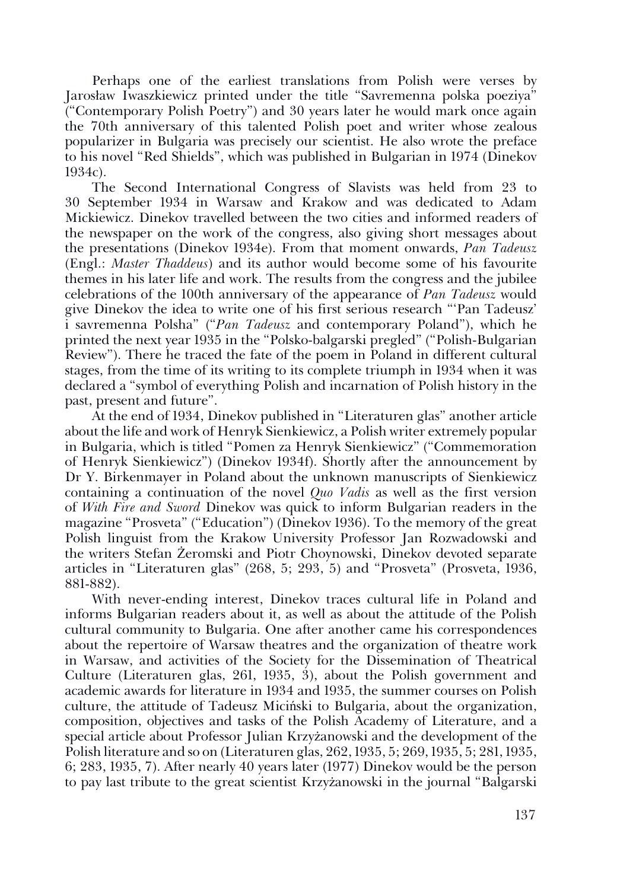Perhaps one of the earliest translations from Polish were verses by Jarosław Iwaszkiewicz printed under the title "Savremenna polska poeziya" ("Contemporary Polish Poetry") and 30 years later he would mark once again the 70th anniversary of this talented Polish poet and writer whose zealous popularizer in Bulgaria was precisely our scientist. He also wrote the preface to his novel "Red Shields", which was published in Bulgarian in 1974 (Dinekov 1934c).

The Second International Congress of Slavists was held from 23 to 30 September 1934 in Warsaw and Krakow and was dedicated to Adam Mickiewicz. Dinekov travelled between the two cities and informed readers of the newspaper on the work of the congress, also giving short messages about the presentations (Dinekov 1934е). From that moment onwards, *Pan Tadeusz* (Engl.: *Master Thaddeus*) and its author would become some of his favourite themes in his later life and work. The results from the congress and the jubilee celebrations of the 100th anniversary of the appearance of *Pan Tadeusz* would give Dinekov the idea to write one of his first serious research "'Pan Tadeusz' i savremenna Polsha" ("*Pan Tadeusz* and contemporary Poland"), which he printed the next year 1935 in the "Polsko-balgarski pregled" ("Polish-Bulgarian Review"). There he traced the fate of the poem in Poland in different cultural stages, from the time of its writing to its complete triumph in 1934 when it was declared a "symbol of everything Polish and incarnation of Polish history in the past, present and future".

At the end of 1934, Dinekov published in "Literaturen glas" another article about the life and work of Henryk Sienkiewicz, a Polish writer extremely popular in Bulgaria, which is titled "Pomen za Henryk Sienkiewicz" ("Commemoration of Henryk Sienkiewicz") (Dinekov 1934f). Shortly after the announcement by Dr Y. Birkenmayer in Poland about the unknown manuscripts of Sienkiewicz containing a continuation of the novel *Quo Vadis* as well as the first version of *With Fire and Sword* Dinekov was quick to inform Bulgarian readers in the magazine "Prosveta" ("Education") (Dinekov 1936). To the memory of the great Polish linguist from the Krakow University Professor Jan Rozwadowski and the writers Stefan Żeromski and Piotr Choynowski, Dinekov devoted separate articles in "Literaturen glas" (268, 5; 293, 5) and "Prosveta" (Prosveta, 1936, 881-882).

With never-ending interest, Dinekov traces cultural life in Poland and informs Bulgarian readers about it, as well as about the attitude of the Polish cultural community to Bulgaria. One after another came his correspondences about the repertoire of Warsaw theatres and the organization of theatre work in Warsaw, and activities of the Society for the Dissemination of Theatrical Culture (Literaturen glas, 261, 1935, 3), about the Polish government and academic awards for literature in 1934 and 1935, the summer courses on Polish culture, the attitude of Tadeusz Miciński to Bulgaria, about the organization, composition, objectives and tasks of the Polish Academy of Literature, and a special article about Professor Julian Krzyżanowski and the development of the Polish literature and so on (Literaturen glas, 262, 1935, 5; 269, 1935, 5; 281, 1935, 6; 283, 1935, 7). After nearly 40 years later (1977) Dinekov would be the person to pay last tribute to the great scientist Krzyżanowski in the journal "Balgarski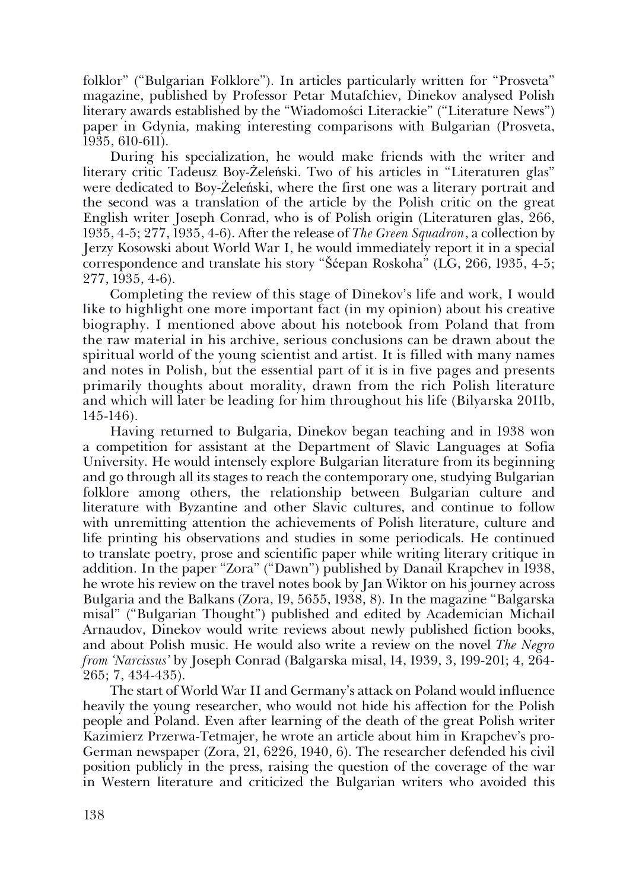folklor" ("Bulgarian Folklore"). In articles particularly written for "Prosveta" magazine, published by Professor Petar Mutafchiev, Dinekov analysed Polish literary awards established by the "Wiadomości Literackie" ("Literature News") paper in Gdynia, making interesting comparisons with Bulgarian (Prosveta, 1935, 610-611).

During his specialization, he would make friends with the writer and literary critic Tadeusz Boy-Żeleński. Two of his articles in "Literaturen glas" were dedicated to Boy-Żeleński, where the first one was a literary portrait and the second was a translation of the article by the Polish critic on the great English writer Joseph Conrad, who is of Polish origin (Literaturen glas, 266, 1935, 4-5; 277, 1935, 4-6). After the release of *The Green Squadron*, a collection by Jerzy Kosowski about World War I, he would immediately report it in a special correspondence and translate his story "Šćepan Roskoha" (LG, 266, 1935, 4-5; 277, 1935, 4-6).

Completing the review of this stage of Dinekov's life and work, I would like to highlight one more important fact (in my opinion) about his creative biography. I mentioned above about his notebook from Poland that from the raw material in his archive, serious conclusions can be drawn about the spiritual world of the young scientist and artist. It is filled with many names and notes in Polish, but the essential part of it is in five pages and presents primarily thoughts about morality, drawn from the rich Polish literature and which will later be leading for him throughout his life (Bilyarska 2011b, 145-146).

Having returned to Bulgaria, Dinekov began teaching and in 1938 won a competition for assistant at the Department of Slavic Languages at Sofia University. He would intensely explore Bulgarian literature from its beginning and go through all its stages to reach the contemporary one, studying Bulgarian folklore among others, the relationship between Bulgarian culture and literature with Byzantine and other Slavic cultures, and continue to follow with unremitting attention the achievements of Polish literature, culture and life printing his observations and studies in some periodicals. He continued to translate poetry, prose and scientific paper while writing literary critique in addition. In the paper "Zora" ("Dawn") published by Danail Krapchev in 1938, he wrote his review on the travel notes book by Jan Wiktor on his journey across Bulgaria and the Balkans (Zora, 19, 5655, 1938, 8). In the magazine "Balgarska misal" ("Bulgarian Thought") published and edited by Academician Michail Arnaudov, Dinekov would write reviews about newly published fiction books, and about Polish music. He would also write a review on the novel *The Negro from 'Narcissus'* by Joseph Conrad (Balgarska misal, 14, 1939, 3, 199-201; 4, 264- 265; 7, 434-435).

The start of World War II and Germany's attack on Poland would influence heavily the young researcher, who would not hide his affection for the Polish people and Poland. Even after learning of the death of the great Polish writer Kazimierz Przerwa-Tetmajer, he wrote an article about him in Krapchev's pro-German newspaper (Zora, 21, 6226, 1940, 6). The researcher defended his civil position publicly in the press, raising the question of the coverage of the war in Western literature and criticized the Bulgarian writers who avoided this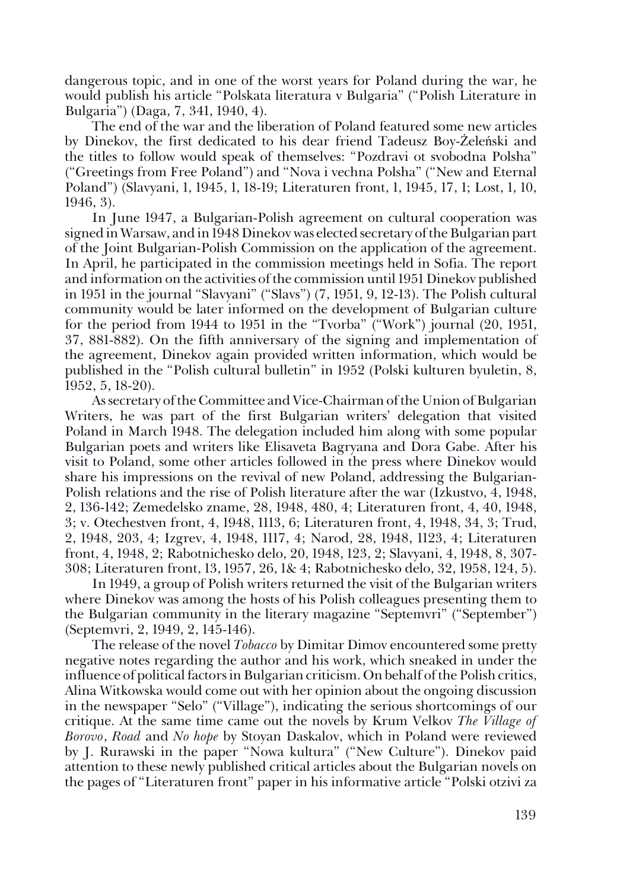dangerous topic, and in one of the worst years for Poland during the war, he would publish his article "Polskata literatura v Bulgaria" ("Polish Literature in Bulgaria") (Daga, 7, 341, 1940, 4).

The end of the war and the liberation of Poland featured some new articles by Dinekov, the first dedicated to his dear friend Tadeusz Boy-Żeleński and the titles to follow would speak of themselves: "Pozdravi ot svobodna Polsha" ("Greetings from Free Poland") and "Nova i vechna Polsha" ("New and Eternal Poland") (Slavyani, 1, 1945, 1, 18-19; Literaturen front, 1, 1945, 17, 1; Lost, 1, 10, 1946, 3).

In June 1947, a Bulgarian-Polish agreement on cultural cooperation was signed in Warsaw, and in 1948 Dinekov was elected secretary of the Bulgarian part of the Joint Bulgarian-Polish Commission on the application of the agreement. In April, he participated in the commission meetings held in Sofia. The report and information on the activities of the commission until 1951 Dinekov published in 1951 in the journal "Slavyani" ("Slavs") (7, 1951, 9, 12-13). The Polish cultural community would be later informed on the development of Bulgarian culture for the period from 1944 to 1951 in the "Tvorba" ("Work") journal (20, 1951, 37, 881-882). On the fifth anniversary of the signing and implementation of the agreement, Dinekov again provided written information, which would be published in the "Polish cultural bulletin" in 1952 (Polski kulturen byuletin, 8, 1952, 5, 18-20).

As secretary of the Committee and Vice-Chairman of the Union of Bulgarian Writers, he was part of the first Bulgarian writers' delegation that visited Poland in March 1948. The delegation included him along with some popular Bulgarian poets and writers like Elisaveta Bagryana and Dora Gabe. After his visit to Poland, some other articles followed in the press where Dinekov would share his impressions on the revival of new Poland, addressing the Bulgarian-Polish relations and the rise of Polish literature after the war (Izkustvo, 4, 1948, 2, 136-142; Zemedelsko zname, 28, 1948, 480, 4; Literaturen front, 4, 40, 1948, 3; v. Otechestven front, 4, 1948, 1113, 6; Literaturen front, 4, 1948, 34, 3; Trud, 2, 1948, 203, 4; Izgrev, 4, 1948, 1117, 4; Narod, 28, 1948, 1123, 4; Literaturen front, 4, 1948, 2; Rabotnichesko delo, 20, 1948, 123, 2; Slavyani, 4, 1948, 8, 307- 308; Literaturen front, 13, 1957, 26, 1& 4; Rabotnichesko delo, 32, 1958, 124, 5).

In 1949, a group of Polish writers returned the visit of the Bulgarian writers where Dinekov was among the hosts of his Polish colleagues presenting them to the Bulgarian community in the literary magazine "Septemvri" ("September") (Septemvri, 2, 1949, 2, 145-146).

The release of the novel *Tobacco* by Dimitar Dimov encountered some pretty negative notes regarding the author and his work, which sneaked in under the influence of political factors in Bulgarian criticism. On behalf of the Polish critics, Alina Witkowska would come out with her opinion about the ongoing discussion in the newspaper "Selo" ("Village"), indicating the serious shortcomings of our critique. At the same time came out the novels by Krum Velkov *The Village of Borovo*, *Road* and *No hope* by Stoyan Daskalov, which in Poland were reviewed by J. Rurawski in the paper "Nowa kultura" ("New Culture"). Dinekov paid attention to these newly published critical articles about the Bulgarian novels on the pages of "Literaturen front" paper in his informative article "Polski otzivi za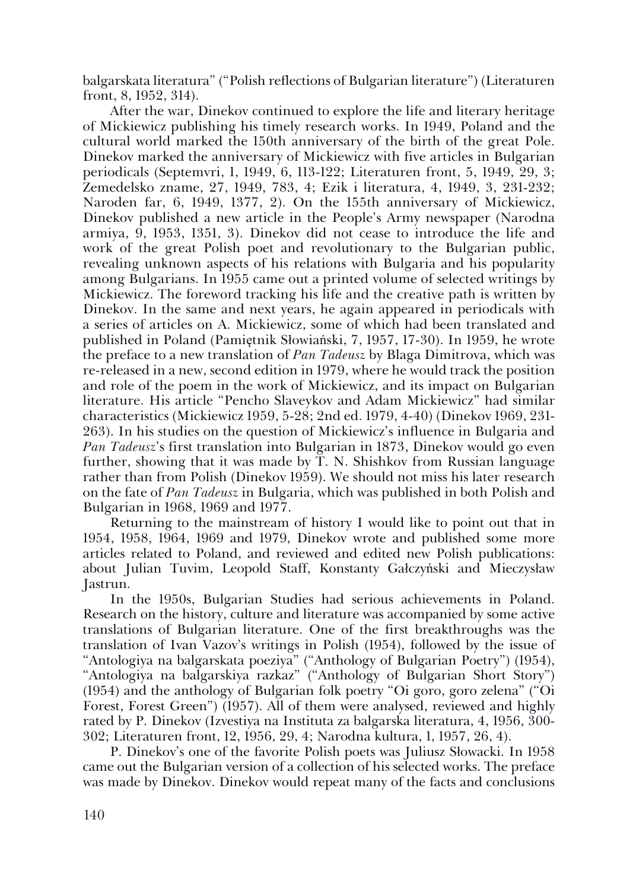balgarskata literatura" ("Polish reflections of Bulgarian literature") (Literaturen front, 8, 1952, 314).

After the war, Dinekov continued to explore the life and literary heritage of Mickiewicz publishing his timely research works. In 1949, Poland and the cultural world marked the 150th anniversary of the birth of the great Pole. Dinekov marked the anniversary of Mickiewicz with five articles in Bulgarian periodicals (Septemvri, 1, 1949, 6, 113-122; Literaturen front, 5, 1949, 29, 3; Zemedelsko zname, 27, 1949, 783, 4; Ezik i literatura, 4, 1949, 3, 231-232; Naroden far, 6, 1949, 1377, 2). On the 155th anniversary of Mickiewicz, Dinekov published a new article in the People's Army newspaper (Narodna armiya, 9, 1953, 1351, 3). Dinekov did not cease to introduce the life and work of the great Polish poet and revolutionary to the Bulgarian public, revealing unknown aspects of his relations with Bulgaria and his popularity among Bulgarians. In 1955 came out a printed volume of selected writings by Mickiewicz. The foreword tracking his life and the creative path is written by Dinekov. In the same and next years, he again appeared in periodicals with a series of articles on A. Mickiewicz, some of which had been translated and published in Poland (Pamiętnik Słowiański, 7, 1957, 17-30). In 1959, he wrote the preface to a new translation of *Pan Tadeusz* by Blaga Dimitrova, which was re-released in a new, second edition in 1979, where he would track the position and role of the poem in the work of Mickiewicz, and its impact on Bulgarian literature. His article "Pencho Slaveykov and Adam Mickiewicz" had similar characteristics (Mickiewicz 1959, 5-28; 2nd ed. 1979, 4-40) (Dinekov 1969, 231- 263). In his studies on the question of Mickiewicz's influence in Bulgaria and *Pan Tadeusz*'s first translation into Bulgarian in 1873, Dinekov would go even further, showing that it was made by  $\tilde{T}$ . N. Shishkov from Russian language rather than from Polish (Dinekov 1959). We should not miss his later research on the fate of *Pan Tadeusz* in Bulgaria, which was published in both Polish and Bulgarian in 1968, 1969 and 1977.

Returning to the mainstream of history I would like to point out that in 1954, 1958, 1964, 1969 and 1979, Dinekov wrote and published some more articles related to Poland, and reviewed and edited new Polish publications: about Julian Tuvim, Leopold Staff, Konstanty Gałczyński and Mieczysław Jastrun.

In the 1950s, Bulgarian Studies had serious achievements in Poland. Research on the history, culture and literature was accompanied by some active translations of Bulgarian literature. One of the first breakthroughs was the translation of Ivan Vazov's writings in Polish (1954), followed by the issue of "Antologiya na balgarskata poeziya" ("Anthology of Bulgarian Poetry") (1954), "Antologiya na balgarskiya razkaz" ("Anthology of Bulgarian Short Story") (1954) and the anthology of Bulgarian folk poetry "Oi goro, goro zelena" ("Oi Forest, Forest Green") (1957). All of them were analysed, reviewed and highly rated by P. Dinekov (Izvestiya na Instituta za balgarska literatura, 4, 1956, 300- 302; Literaturen front, 12, 1956, 29, 4; Narodna kultura, 1, 1957, 26, 4).

P. Dinekov's one of the favorite Polish poets was Juliusz Słowacki. In 1958 came out the Bulgarian version of a collection of his selected works. The preface was made by Dinekov. Dinekov would repeat many of the facts and conclusions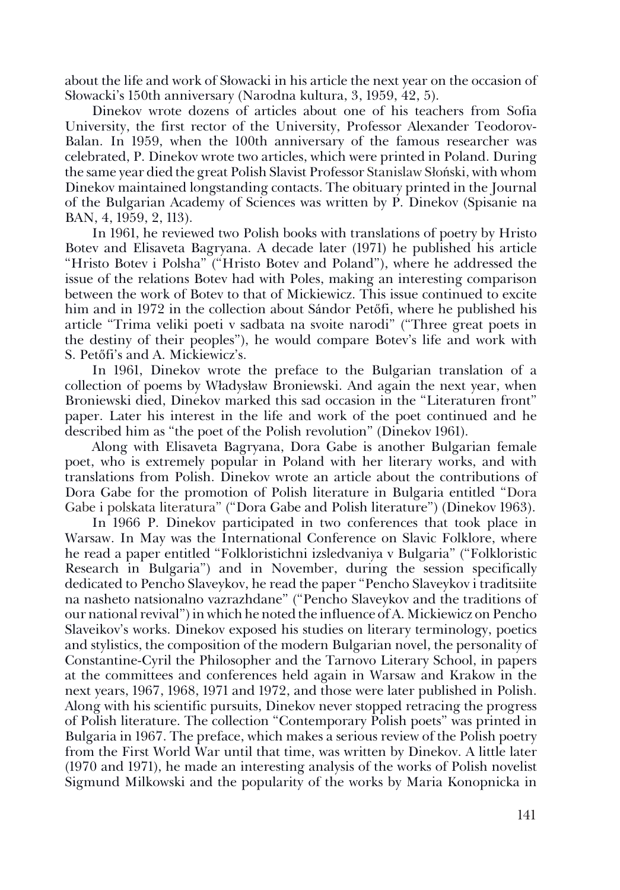about the life and work of Słowacki in his article the next year on the occasion of Słowacki's 150th anniversary (Narodna kultura, 3, 1959, 42, 5).

Dinekov wrote dozens of articles about one of his teachers from Sofia University, the first rector of the University, Professor Alexander Teodorov-Balan. In 1959, when the 100th anniversary of the famous researcher was celebrated, P. Dinekov wrote two articles, which were printed in Poland. During the same year died the great Polish Slavist Professor Stanislaw Słoński, with whom Dinekov maintained longstanding contacts. The obituary printed in the Journal of the Bulgarian Academy of Sciences was written by P. Dinekov (Spisanie na BAN, 4, 1959, 2, 113).

In 1961, he reviewed two Polish books with translations of poetry by Hristo Botev and Elisaveta Bagryana. A decade later (1971) he published his article "Hristo Botev i Polsha" ("Hristo Botev and Poland"), where he addressed the issue of the relations Botev had with Poles, making an interesting comparison between the work of Botev to that of Mickiewicz. This issue continued to excite him and in 1972 in the collection about Sándor Petőfi, where he published his article "Trima veliki poeti v sadbata na svoite narodi" ("Three great poets in the destiny of their peoples"), he would compare Botev's life and work with S. Petőfi's and A. Mickiewicz's.

In 1961, Dinekov wrote the preface to the Bulgarian translation of a collection of poems by Władysław Broniewski. And again the next year, when Broniewski died, Dinekov marked this sad occasion in the "Literaturen front" paper. Later his interest in the life and work of the poet continued and he described him as "the poet of the Polish revolution" (Dinekov 1961).

Along with Elisaveta Bagryana, Dora Gabe is another Bulgarian female poet, who is extremely popular in Poland with her literary works, and with translations from Polish. Dinekov wrote an article about the contributions of Dora Gabe for the promotion of Polish literature in Bulgaria entitled "Dora Gabe i polskata literatura" ("Dora Gabe and Polish literature") (Dinekov 1963).

In 1966 P. Dinekov participated in two conferences that took place in Warsaw. In May was the International Conference on Slavic Folklore, where he read a paper entitled "Folkloristichni izsledvaniya v Bulgaria" ("Folkloristic Research in Bulgaria") and in November, during the session specifically dedicated to Pencho Slaveykov, he read the paper "Pencho Slaveykov i traditsiite na nasheto natsionalno vazrazhdane" ("Pencho Slaveykov and the traditions of our national revival") in which he noted the influence of A. Mickiewicz on Pencho Slaveikov's works. Dinekov exposed his studies on literary terminology, poetics and stylistics, the composition of the modern Bulgarian novel, the personality of Constantine-Cyril the Philosopher and the Tarnovo Literary School, in papers at the committees and conferences held again in Warsaw and Krakow in the next years, 1967, 1968, 1971 and 1972, and those were later published in Polish. Along with his scientific pursuits, Dinekov never stopped retracing the progress of Polish literature. The collection "Contemporary Polish poets" was printed in Bulgaria in 1967. The preface, which makes a serious review of the Polish poetry from the First World War until that time, was written by Dinekov. A little later (1970 and 1971), he made an interesting analysis of the works of Polish novelist Sigmund Milkowski and the popularity of the works by Maria Konopnicka in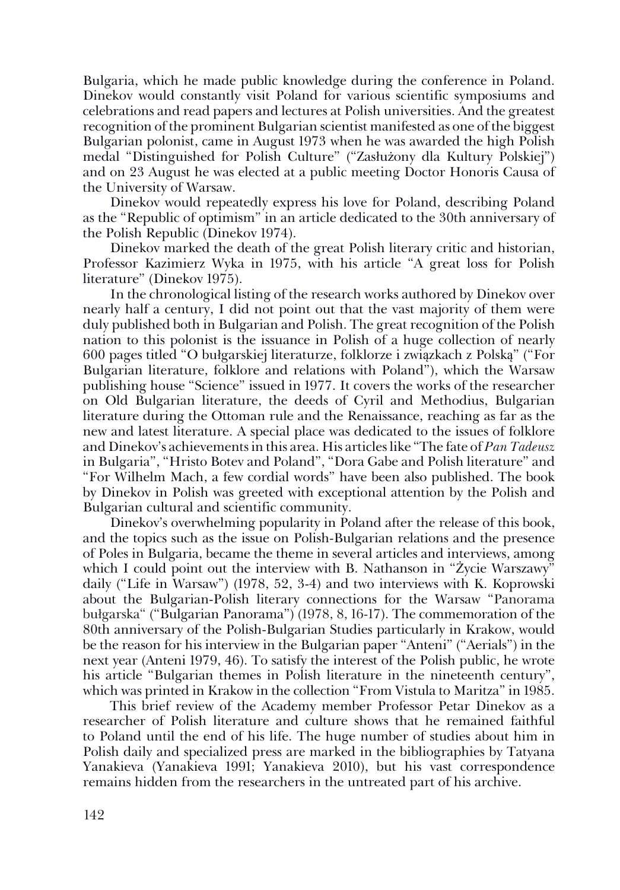Bulgaria, which he made public knowledge during the conference in Poland. Dinekov would constantly visit Poland for various scientific symposiums and celebrations and read papers and lectures at Polish universities. And the greatest recognition of the prominent Bulgarian scientist manifested as one of the biggest Bulgarian polonist, came in August 1973 when he was awarded the high Polish medal "Distinguished for Polish Culture" ("Zasłużony dla Kultury Polskiej") and on 23 August he was elected at a public meeting Doctor Honoris Causa of the University of Warsaw.

Dinekov would repeatedly express his love for Poland, describing Poland as the "Republic of optimism" in an article dedicated to the 30th anniversary of the Polish Republic (Dinekov 1974).

Dinekov marked the death of the great Polish literary critic and historian, Professor Kazimierz Wyka in 1975, with his article "A great loss for Polish literature" (Dinekov 1975).

In the chronological listing of the research works authored by Dinekov over nearly half a century, I did not point out that the vast majority of them were duly published both in Bulgarian and Polish. The great recognition of the Polish nation to this polonist is the issuance in Polish of a huge collection of nearly 600 pages titled "O bułgarskiej literaturze, folklorze i związkach z Polską" ("For Bulgarian literature, folklore and relations with Poland"), which the Warsaw publishing house "Science" issued in 1977. It covers the works of the researcher on Old Bulgarian literature, the deeds of Cyril and Methodius, Bulgarian literature during the Ottoman rule and the Renaissance, reaching as far as the new and latest literature. A special place was dedicated to the issues of folklore and Dinekov's achievements in this area. His articles like "The fate of *Pan Tadeusz* in Bulgaria", "Hristo Botev and Poland", "Dora Gabe and Polish literature" and "For Wilhelm Mach, a few cordial words" have been also published. The book by Dinekov in Polish was greeted with exceptional attention by the Polish and Bulgarian cultural and scientific community.

Dinekov's overwhelming popularity in Poland after the release of this book, and the topics such as the issue on Polish-Bulgarian relations and the presence of Poles in Bulgaria, became the theme in several articles and interviews, among which I could point out the interview with B. Nathanson in "Życie Warszawy" daily ("Life in Warsaw") (1978, 52, 3-4) and two interviews with K. Koprowski about the Bulgarian-Polish literary connections for the Warsaw "Panorama bułgarska" ("Bulgarian Panorama") (1978, 8, 16-17). The commemoration of the 80th anniversary of the Polish-Bulgarian Studies particularly in Krakow, would be the reason for his interview in the Bulgarian paper "Anteni" ("Aerials") in the next year (Anteni 1979, 46). To satisfy the interest of the Polish public, he wrote his article "Bulgarian themes in Polish literature in the nineteenth century", which was printed in Krakow in the collection "From Vistula to Maritza" in 1985.

Тhis brief review of the Academy member Professor Petar Dinekov as a researcher of Polish literature and culture shows that he remained faithful to Poland until the end of his life. The huge number of studies about him in Polish daily and specialized press are marked in the bibliographies by Tatyana Yanakieva (Yanakieva 1991; Yanakieva 2010), but his vast correspondence remains hidden from the researchers in the untreated part of his archive.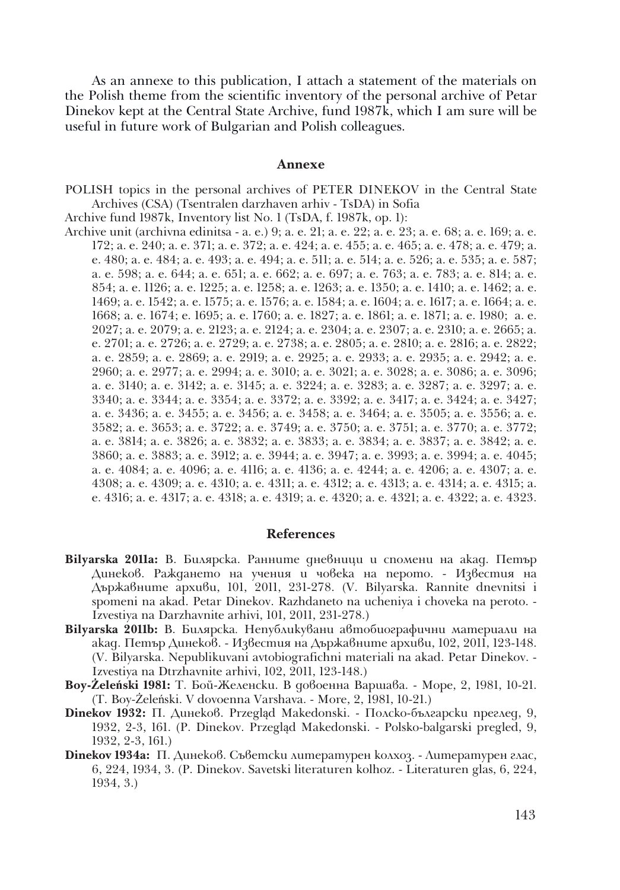As an annexe to this publication, I attach a statement of the materials on the Polish theme from the scientific inventory of the personal archive of Petar Dinekov kept at the Central State Archive, fund 1987k, which I am sure will be useful in future work of Bulgarian and Polish colleagues.

#### **Annexe**

POLISH topics in the personal archives of PETER DINEKOV in the Central State Archives (CSA) (Tsentralen darzhaven arhiv - TsDA) in Sofia

Archive fund 1987k, Inventory list No. 1 (TsDA, f. 1987k, op. 1):

Archive unit (аrchivna edinitsa - a. е.) 9; а. е. 21; а. е. 22; а. е. 23; а. е. 68; а. е. 169; а. е. 172; а. е. 240; а. е. 371; а. е. 372; а. е. 424; а. е. 455; а. е. 465; а. е. 478; а. е. 479; а. е. 480; а. е. 484; а. е. 493; а. е. 494; а. е. 511; а. е. 514; а. е. 526; а. е. 535; а. е. 587; а. е. 598; а. е. 644; а. е. 651; а. е. 662; а. е. 697; а. е. 763; а. е. 783; а. е. 814; а. е. 854; а. е. 1126; а. е. 1225; а. е. 1258; а. е. 1263; а. е. 1350; а. е. 1410; а. е. 1462; а. е. 1469; а. е. 1542; а. е. 1575; а. е. 1576; а. е. 1584; а. е. 1604; а. е. 1617; а. е. 1664; а. е. 1668; а. е. 1674; е. 1695; а. е. 1760; а. е. 1827; а. е. 1861; а. е. 1871; а. е. 1980; а. е. 2027; а. е. 2079; а. е. 2123; а. е. 2124; а. е. 2304; а. е. 2307; а. е. 2310; а. е. 2665; а. е. 2701; а. е. 2726; а. е. 2729; а. е. 2738; а. е. 2805; а. е. 2810; а. е. 2816; а. е. 2822; а. е. 2859; а. е. 2869; а. е. 2919; а. е. 2925; а. е. 2933; а. е. 2935; а. е. 2942; а. е. 2960; а. е. 2977; а. е. 2994; а. е. 3010; а. е. 3021; а. е. 3028; а. е. 3086; а. е. 3096; а. е. 3140; а. е. 3142; а. е. 3145; а. е. 3224; а. е. 3283; а. е. 3287; а. е. 3297; а. е. 3340; а. е. 3344; а. е. 3354; а. е. 3372; а. е. 3392; а. е. 3417; а. е. 3424; а. е. 3427; а. е. 3436; а. е. 3455; а. е. 3456; а. е. 3458; а. е. 3464; а. е. 3505; а. е. 3556; а. е. 3582; а. е. 3653; а. е. 3722; а. е. 3749; а. е. 3750; а. е. 3751; а. е. 3770; а. е. 3772; а. е. 3814; а. е. 3826; а. е. 3832; а. е. 3833; а. е. 3834; а. е. 3837; а. е. 3842; а. е. 3860; а. е. 3883; а. е. 3912; а. е. 3944; а. е. 3947; а. е. 3993; а. е. 3994; а. е. 4045; а. е. 4084; а. е. 4096; а. е. 4116; а. е. 4136; а. е. 4244; а. е. 4206; а. е. 4307; а. е. 4308; а. е. 4309; а. е. 4310; а. е. 4311; а. е. 4312; а. е. 4313; а. е. 4314; а. е. 4315; а. е. 4316; а. е. 4317; а. е. 4318; а. е. 4319; а. е. 4320; а. е. 4321; а. е. 4322; а. е. 4323.

### **References**

- **Bilyarska 2011a:** В. Билярска. Ранните дневници и спомени на акад. Петър Динеков. Раждането на учения и човека на перото. - Известия на Държавните архиви, 101, 2011, 231-278. (V. Bilyarska. Rannite dnevnitsi i spomeni na akad. Petar Dinekov. Razhdaneto na ucheniya i choveka na peroto. - Izvestiya na Dаrzhavnite arhivi, 101, 2011, 231-278.)
- **Bilyarska 2011b:** В. Билярска*.* Непубликувани автобиографични материали на акад. Петър Динеков. - Известия на Държавните архиви, 102, 2011, 123-148. (V. Bilyarska. Nepublikuvani avtobiografichni materiali na akad. Petar Dinekov. - Izvestiya na Dtrzhavnite arhivi, 102, 2011, 123-148.)
- **Boy-Żeleński 1981:** T. Бой-Желенски. В довоенна Варшава. Море, 2, 1981, 10-21. (T. Boy-Żeleński. V dovoenna Varshava. - More, 2, 1981, 10-21.)
- **Dinekov 1932:** П. Динеков. Przegląd Makedonski. Полско-български преглед, 9, 1932, 2-3, 161. (P. Dinekov. Przegląd Makedonski. - Polsko-balgarski pregled, 9, 1932, 2-3, 161.)
- **Dinekov 1934a:** П. Динеков. Съветски литературен колхоз. Литературен глас, 6, 224, 1934, 3. (P. Dinekov. Savetski literaturen kolhoz. - Literaturen glas, 6, 224, 1934, 3.)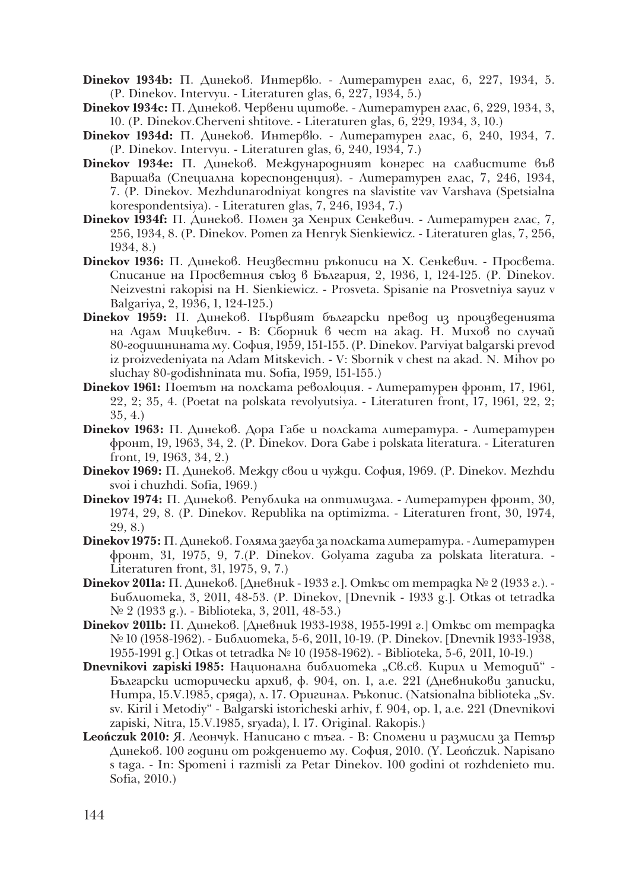- **Dinekov 1934b:** П. Динеков. Интервю. Литературен глас, 6, 227, 1934, 5. (P. Dinekov. Intervyu. - Literaturen glas, 6, 227, 1934, 5.)
- **Dinekov 1934c:** П. Динеков. Червени щитове. Литературен глас, 6, 229, 1934, 3, 10. (P. Dinekov.Cherveni shtitove. - Literaturen glas, 6, 229, 1934, 3, 10.)
- **Dinekov 1934d:** П. Динеков. Интервю. Литературен глас, 6, 240, 1934, 7. (P. Dinekov. Intervyu. - Literaturen glas, 6, 240, 1934, 7.)
- **Dinekov 1934e:** П. Динеков. Международният конгрес на славистите във Варшава (Специална кореспонденция). - Литературен глас, 7, 246, 1934, 7. (P. Dinekov. Mezhdunarodniyat kongres na slavistite vav Varshava (Spetsialna korespondentsiya). - Literaturen glas, 7, 246, 1934, 7.)
- **Dinekov 1934f:** П. Динеков. Помен за Хенрих Сенкевич. Литературен глас, 7, 256, 1934, 8. (P. Dinekov. Pomen za Henryk Sienkiewicz. - Literaturen glas, 7, 256, 1934, 8.)
- **Dinekov 1936:** П. Динеков. Неизвестни ръкописи на Х. Сенкевич. Просвета. Списание на Просветния съюз в България, 2, 1936, 1, 124-125. (P. Dinekov. Neizvestni rakopisi na H. Sienkiewicz. - Prosveta. Spisanie na Prosvetniya sayuz v Balgariya, 2, 1936, 1, 124-125.)
- **Dinekov 1959:** П. Динеков. Първият български превод из произведенията на Адам Мицкевич. - В: Сборник в чест на акад. Н. Михов по случай 80-годишнината му. София, 1959, 151-155. (P. Dinekov. Parviyat balgarski prevod iz proizvedeniyata na Adam Mitskevich. - V: Sbornik v chest na akad. N. Mihov po sluchay 80-godishninata mu. Sofia, 1959, 151-155.)
- **Dinekov 1961:** Поетът на полската революция. Литературен фронт, 17, 1961, 22, 2; 35, 4. (Poetat na polskata revolyutsiya. - Literaturen front, 17, 1961, 22, 2; 35, 4.)
- **Dinekov 1963:** П. Динеков. Дора Габе и полската литература. Литературен фронт, 19, 1963, 34, 2. (P. Dinekov. Dora Gabe i polskata literatura. - Literaturen front, 19, 1963, 34, 2.)
- **Dinekov 1969:** П. Динеков. Между свои и чужди. София, 1969. (P. Dinekov. Mezhdu svoi i chuzhdi. Sofia, 1969.)
- **Dinekov 1974:** П. Динеков. Република на оптимизма. Литературен фронт, 30, 1974, 29, 8. (P. Dinekov. Republika na optimizma. - Literaturen front, 30, 1974, 29, 8.)
- **Dinekov 1975:** П. Динеков. Голяма загуба за полската литература. Литературен фронт, 31, 1975, 9, 7.(P. Dinekov. Golyama zaguba za polskata literatura. - Literaturen front, 31, 1975, 9, 7.)
- **Dinekov 2011а:** П. Динеков. [Дневник 1933 г.]. Откъс от тетрадка № 2 (1933 г.). -Библиотека, 3, 2011, 48-53. (P. Dinekov, [Dnevnik - 1933 g.]. Otkas ot tetradka № 2 (1933 g.). - Biblioteka, 3, 2011, 48-53.)
- **Dinekov 2011b:** П. Динеков. [Дневник 1933-1938, 1955-1991 г.] Откъс от тетрадка № 10 (1958-1962). - Библиотека, 5-6, 2011, 10-19. (P. Dinekov. [Dnevnik 1933-1938, 1955-1991 g.] Otkas ot tetradka № 10 (1958-1962). - Biblioteka, 5-6, 2011, 10-19.)
- **Dnevnikovi zapiski 1985:** Национална библиотека "Св.св. Кирил и Методий" -Български исторически архив, ф. 904, оп. 1, а.е. 221 (Дневникови записки, Нитра, 15.V.1985, сряда), л. 17. Оригинал. Ръкопис. (Natsionalna biblioteka "Sv. sv. Kiril i Metodiy" - Balgarski istoricheski arhiv, f. 904, op. 1, a.e. 221 (Dnevnikovi zapiski, Nitra, 15.V.1985, sryada), l. 17. Original. Rakopis.)
- **Leończuk 2010:** Я. Леончук. Написано с тъга. В: Спомени и размисли за Петър Динеков. 100 години от рождението му. София, 2010. (Y. Leończuk. Napisano s taga. - In: Spomeni i razmisli za Petar Dinekov. 100 godini ot rozhdenieto mu. Sоfia, 2010.)